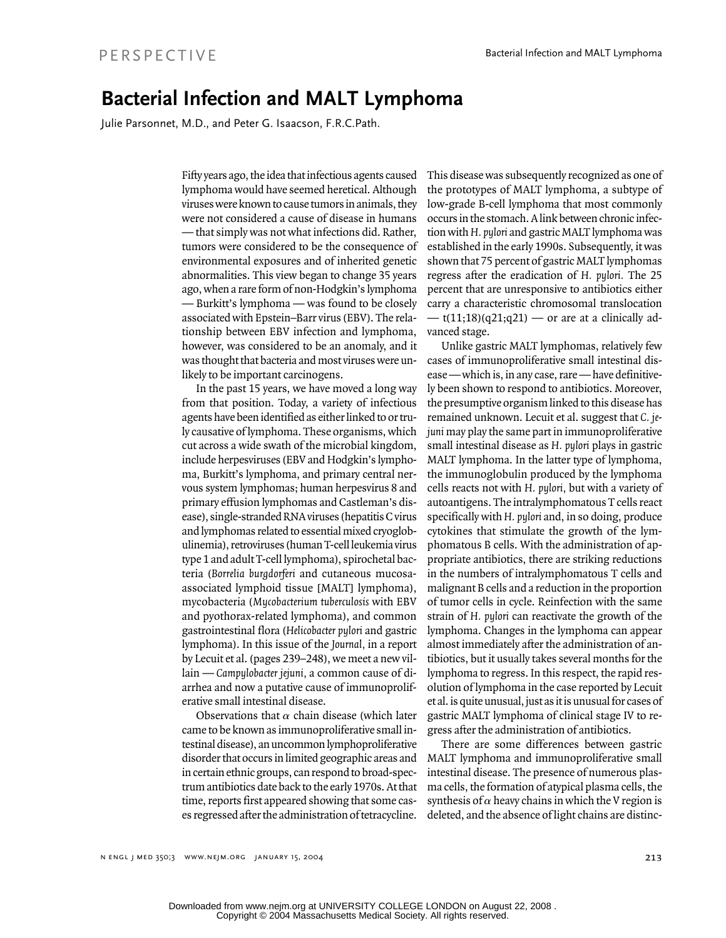## **Bacterial Infection and MALT Lymphoma**

Julie Parsonnet, M.D., and Peter G. Isaacson, F.R.C.Path.

Fifty years ago, the idea that infectious agents caused lymphoma would have seemed heretical. Although viruses were known to cause tumors in animals, they were not considered a cause of disease in humans — that simply was not what infections did. Rather, tumors were considered to be the consequence of environmental exposures and of inherited genetic abnormalities. This view began to change 35 years ago, when a rare form of non-Hodgkin's lymphoma — Burkitt's lymphoma — was found to be closely associated with Epstein–Barr virus (EBV). The relationship between EBV infection and lymphoma, however, was considered to be an anomaly, and it was thought that bacteria and most viruses were unlikely to be important carcinogens.

In the past 15 years, we have moved a long way from that position. Today, a variety of infectious agents have been identified as either linked to or truly causative of lymphoma. These organisms, which cut across a wide swath of the microbial kingdom, include herpesviruses (EBV and Hodgkin's lymphoma, Burkitt's lymphoma, and primary central nervous system lymphomas; human herpesvirus 8 and primary effusion lymphomas and Castleman's disease), single-stranded RNA viruses (hepatitis C virus and lymphomas related to essential mixed cryoglobulinemia), retroviruses (human T-cell leukemia virus type 1 and adult T-cell lymphoma), spirochetal bacteria (*Borrelia burgdorferi* and cutaneous mucosaassociated lymphoid tissue [MALT] lymphoma), mycobacteria (*Mycobacterium tuberculosis* with EBV and pyothorax-related lymphoma), and common gastrointestinal flora (*Helicobacter pylori* and gastric lymphoma). In this issue of the *Journal,* in a report by Lecuit et al. (pages 239–248), we meet a new villain — *Campylobacter jejuni,* a common cause of diarrhea and now a putative cause of immunoproliferative small intestinal disease.

Observations that  $\alpha$  chain disease (which later came to be known as immunoproliferative small intestinal disease), an uncommon lymphoproliferative disorder that occurs in limited geographic areas and in certain ethnic groups, can respond to broad-spectrum antibiotics date back to the early 1970s. At that time, reports first appeared showing that some cases regressed after the administration of tetracycline.

This disease was subsequently recognized as one of the prototypes of MALT lymphoma, a subtype of low-grade B-cell lymphoma that most commonly occurs in the stomach. A link between chronic infection with *H. pylori* and gastric MALT lymphoma was established in the early 1990s. Subsequently, it was shown that 75 percent of gastric MALT lymphomas regress after the eradication of *H. pylori.* The 25 percent that are unresponsive to antibiotics either carry a characteristic chromosomal translocation  $-$  t(11;18)(q21;q21) — or are at a clinically advanced stage.

Unlike gastric MALT lymphomas, relatively few cases of immunoproliferative small intestinal disease — which is, in any case, rare — have definitively been shown to respond to antibiotics. Moreover, the presumptive organism linked to this disease has remained unknown. Lecuit et al. suggest that *C. jejuni* may play the same part in immunoproliferative small intestinal disease as *H. pylori* plays in gastric MALT lymphoma. In the latter type of lymphoma, the immunoglobulin produced by the lymphoma cells reacts not with *H. pylori,* but with a variety of autoantigens. The intralymphomatous T cells react specifically with *H. pylori* and, in so doing, produce cytokines that stimulate the growth of the lymphomatous B cells. With the administration of appropriate antibiotics, there are striking reductions in the numbers of intralymphomatous T cells and malignant B cells and a reduction in the proportion of tumor cells in cycle. Reinfection with the same strain of *H. pylori* can reactivate the growth of the lymphoma. Changes in the lymphoma can appear almost immediately after the administration of antibiotics, but it usually takes several months for the lymphoma to regress. In this respect, the rapid resolution of lymphoma in the case reported by Lecuit et al. is quite unusual, just as it is unusual for cases of gastric MALT lymphoma of clinical stage IV to regress after the administration of antibiotics.

There are some differences between gastric MALT lymphoma and immunoproliferative small intestinal disease. The presence of numerous plasma cells, the formation of atypical plasma cells, the synthesis of  $\alpha$  heavy chains in which the V region is deleted, and the absence of light chains are distinc-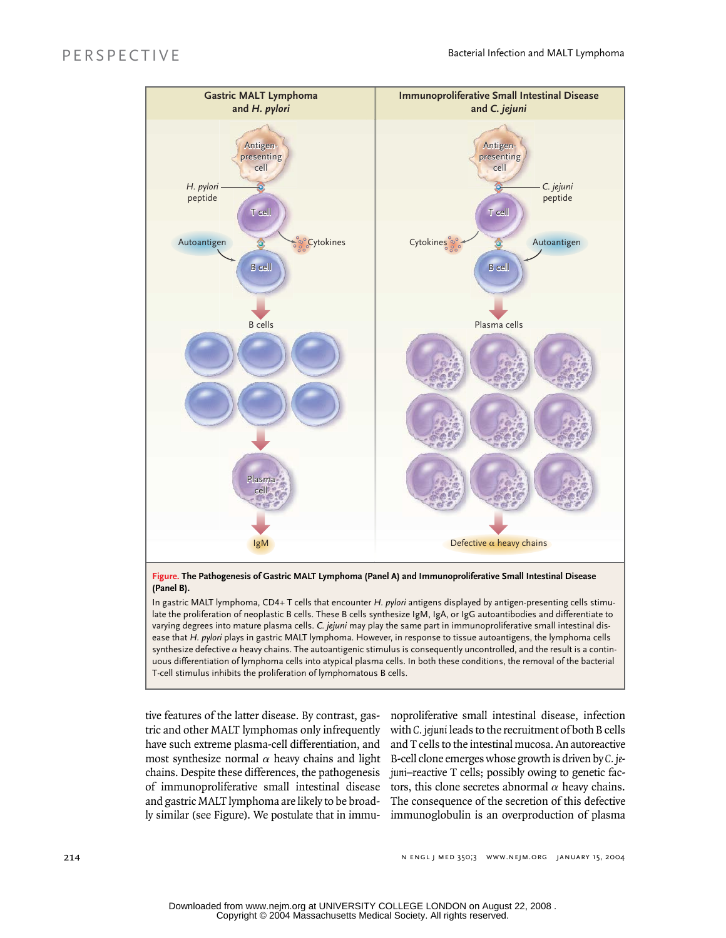

**Figure. The Pathogenesis of Gastric MALT Lymphoma (Panel A) and Immunoproliferative Small Intestinal Disease (Panel B).** 

In gastric MALT lymphoma, CD4+ T cells that encounter *H. pylori* antigens displayed by antigen-presenting cells stimulate the proliferation of neoplastic B cells. These B cells synthesize IgM, IgA, or IgG autoantibodies and differentiate to varying degrees into mature plasma cells. *C. jejuni* may play the same part in immunoproliferative small intestinal disease that *H. pylori* plays in gastric MALT lymphoma. However, in response to tissue autoantigens, the lymphoma cells synthesize defective  $\alpha$  heavy chains. The autoantigenic stimulus is consequently uncontrolled, and the result is a continuous differentiation of lymphoma cells into atypical plasma cells. In both these conditions, the removal of the bacterial T-cell stimulus inhibits the proliferation of lymphomatous B cells.

tive features of the latter disease. By contrast, gastric and other MALT lymphomas only infrequently have such extreme plasma-cell differentiation, and most synthesize normal  $\alpha$  heavy chains and light chains. Despite these differences, the pathogenesis of immunoproliferative small intestinal disease and gastric MALT lymphoma are likely to be broadly similar (see Figure). We postulate that in immu-

noproliferative small intestinal disease, infection with *C. jejuni* leads to the recruitment of both B cells and T cells to the intestinal mucosa. An autoreactive B-cell clone emerges whose growth is driven by *C. jejuni*–reactive T cells; possibly owing to genetic factors, this clone secretes abnormal  $\alpha$  heavy chains. The consequence of the secretion of this defective immunoglobulin is an overproduction of plasma